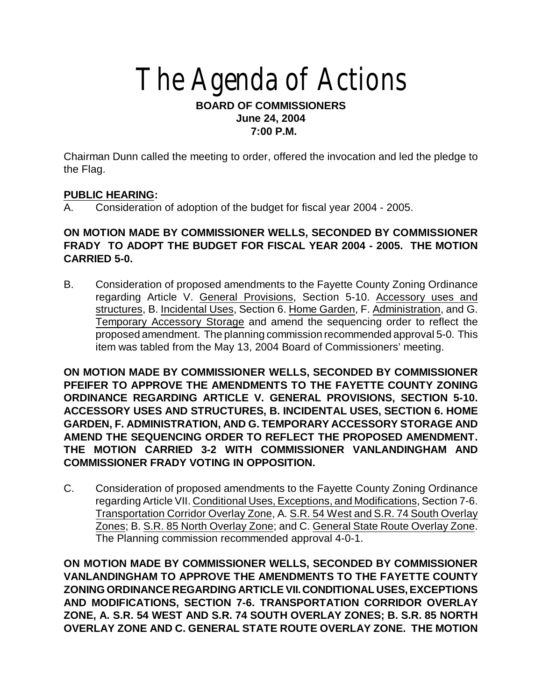# The Agenda of Actions

## **BOARD OF COMMISSIONERS June 24, 2004 7:00 P.M.**

Chairman Dunn called the meeting to order, offered the invocation and led the pledge to the Flag.

# **PUBLIC HEARING:**

A. Consideration of adoption of the budget for fiscal year 2004 - 2005.

# **ON MOTION MADE BY COMMISSIONER WELLS, SECONDED BY COMMISSIONER FRADY TO ADOPT THE BUDGET FOR FISCAL YEAR 2004 - 2005. THE MOTION CARRIED 5-0.**

B. Consideration of proposed amendments to the Fayette County Zoning Ordinance regarding Article V. General Provisions, Section 5-10. Accessory uses and structures, B. Incidental Uses, Section 6. Home Garden, F. Administration, and G. Temporary Accessory Storage and amend the sequencing order to reflect the proposed amendment. The planning commission recommended approval 5-0. This item was tabled from the May 13, 2004 Board of Commissioners' meeting.

**ON MOTION MADE BY COMMISSIONER WELLS, SECONDED BY COMMISSIONER PFEIFER TO APPROVE THE AMENDMENTS TO THE FAYETTE COUNTY ZONING ORDINANCE REGARDING ARTICLE V. GENERAL PROVISIONS, SECTION 5-10. ACCESSORY USES AND STRUCTURES, B. INCIDENTAL USES, SECTION 6. HOME GARDEN, F. ADMINISTRATION, AND G. TEMPORARY ACCESSORY STORAGE AND AMEND THE SEQUENCING ORDER TO REFLECT THE PROPOSED AMENDMENT. THE MOTION CARRIED 3-2 WITH COMMISSIONER VANLANDINGHAM AND COMMISSIONER FRADY VOTING IN OPPOSITION.**

C. Consideration of proposed amendments to the Fayette County Zoning Ordinance regarding Article VII. Conditional Uses, Exceptions, and Modifications, Section 7-6. Transportation Corridor Overlay Zone, A. S.R. 54 West and S.R. 74 South Overlay Zones; B. S.R. 85 North Overlay Zone; and C. General State Route Overlay Zone. The Planning commission recommended approval 4-0-1.

**ON MOTION MADE BY COMMISSIONER WELLS, SECONDED BY COMMISSIONER VANLANDINGHAM TO APPROVE THE AMENDMENTS TO THE FAYETTE COUNTY ZONING ORDINANCE REGARDING ARTICLE VII. CONDITIONAL USES, EXCEPTIONS AND MODIFICATIONS, SECTION 7-6. TRANSPORTATION CORRIDOR OVERLAY ZONE, A. S.R. 54 WEST AND S.R. 74 SOUTH OVERLAY ZONES; B. S.R. 85 NORTH OVERLAY ZONE AND C. GENERAL STATE ROUTE OVERLAY ZONE. THE MOTION**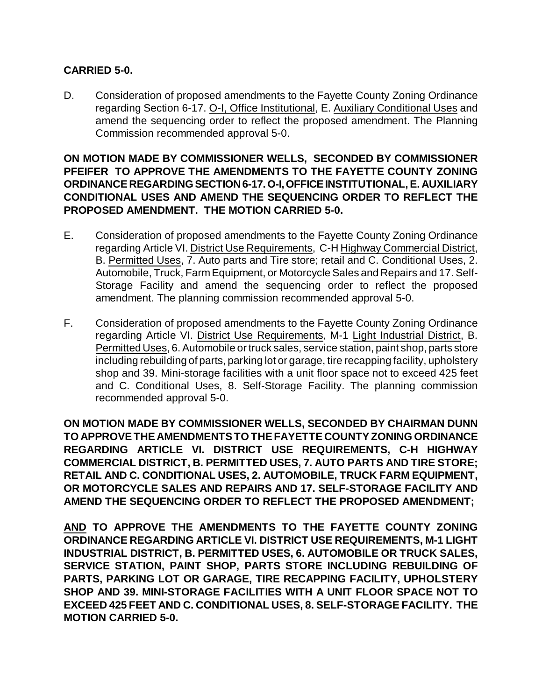# **CARRIED 5-0.**

D. Consideration of proposed amendments to the Fayette County Zoning Ordinance regarding Section 6-17. O-I, Office Institutional, E. Auxiliary Conditional Uses and amend the sequencing order to reflect the proposed amendment. The Planning Commission recommended approval 5-0.

# **ON MOTION MADE BY COMMISSIONER WELLS, SECONDED BY COMMISSIONER PFEIFER TO APPROVE THE AMENDMENTS TO THE FAYETTE COUNTY ZONING ORDINANCE REGARDING SECTION 6-17. O-I, OFFICE INSTITUTIONAL, E. AUXILIARY CONDITIONAL USES AND AMEND THE SEQUENCING ORDER TO REFLECT THE PROPOSED AMENDMENT. THE MOTION CARRIED 5-0.**

- E. Consideration of proposed amendments to the Fayette County Zoning Ordinance regarding Article VI. District Use Requirements, C-H Highway Commercial District, B. Permitted Uses, 7. Auto parts and Tire store; retail and C. Conditional Uses, 2. Automobile, Truck, Farm Equipment, or Motorcycle Sales and Repairs and 17. Self-Storage Facility and amend the sequencing order to reflect the proposed amendment. The planning commission recommended approval 5-0.
- F. Consideration of proposed amendments to the Fayette County Zoning Ordinance regarding Article VI. District Use Requirements, M-1 Light Industrial District, B. Permitted Uses, 6. Automobile or truck sales, service station, paint shop, parts store including rebuilding of parts, parking lot or garage, tire recapping facility, upholstery shop and 39. Mini-storage facilities with a unit floor space not to exceed 425 feet and C. Conditional Uses, 8. Self-Storage Facility. The planning commission recommended approval 5-0.

**ON MOTION MADE BY COMMISSIONER WELLS, SECONDED BY CHAIRMAN DUNN TO APPROVETHE AMENDMENTS TO THEFAYETTE COUNTY ZONING ORDINANCE REGARDING ARTICLE VI. DISTRICT USE REQUIREMENTS, C-H HIGHWAY COMMERCIAL DISTRICT, B. PERMITTED USES, 7. AUTO PARTS AND TIRE STORE; RETAIL AND C. CONDITIONAL USES, 2. AUTOMOBILE, TRUCK FARM EQUIPMENT, OR MOTORCYCLE SALES AND REPAIRS AND 17. SELF-STORAGE FACILITY AND AMEND THE SEQUENCING ORDER TO REFLECT THE PROPOSED AMENDMENT;** 

**AND TO APPROVE THE AMENDMENTS TO THE FAYETTE COUNTY ZONING ORDINANCE REGARDING ARTICLE VI. DISTRICT USE REQUIREMENTS, M-1 LIGHT INDUSTRIAL DISTRICT, B. PERMITTED USES, 6. AUTOMOBILE OR TRUCK SALES, SERVICE STATION, PAINT SHOP, PARTS STORE INCLUDING REBUILDING OF PARTS, PARKING LOT OR GARAGE, TIRE RECAPPING FACILITY, UPHOLSTERY SHOP AND 39. MINI-STORAGE FACILITIES WITH A UNIT FLOOR SPACE NOT TO EXCEED 425 FEET AND C. CONDITIONAL USES, 8. SELF-STORAGE FACILITY. THE MOTION CARRIED 5-0.**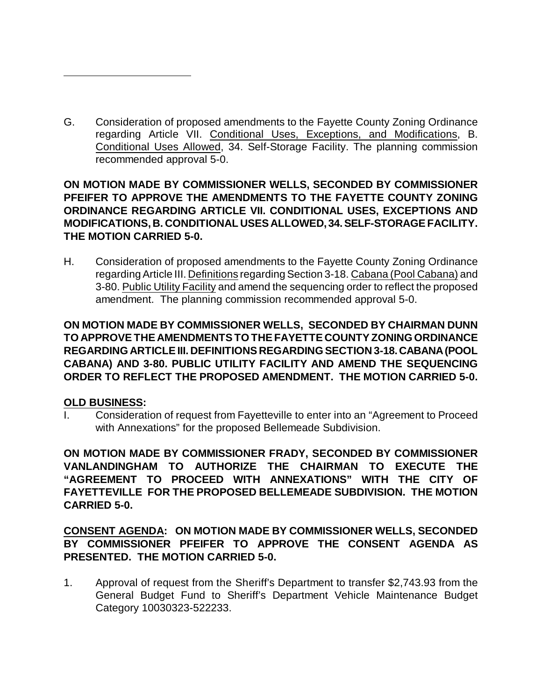G. Consideration of proposed amendments to the Fayette County Zoning Ordinance regarding Article VII. Conditional Uses, Exceptions, and Modifications, B. Conditional Uses Allowed, 34. Self-Storage Facility. The planning commission recommended approval 5-0.

# **ON MOTION MADE BY COMMISSIONER WELLS, SECONDED BY COMMISSIONER PFEIFER TO APPROVE THE AMENDMENTS TO THE FAYETTE COUNTY ZONING ORDINANCE REGARDING ARTICLE VII. CONDITIONAL USES, EXCEPTIONS AND MODIFICATIONS, B. CONDITIONAL USES ALLOWED, 34. SELF-STORAGE FACILITY. THE MOTION CARRIED 5-0.**

H. Consideration of proposed amendments to the Fayette County Zoning Ordinance regarding Article III. Definitions regarding Section 3-18. Cabana (Pool Cabana) and 3-80. Public Utility Facility and amend the sequencing order to reflect the proposed amendment. The planning commission recommended approval 5-0.

# **ON MOTION MADE BY COMMISSIONER WELLS, SECONDED BY CHAIRMAN DUNN TO APPROVETHE AMENDMENTS TO THE FAYETTE COUNTY ZONING ORDINANCE REGARDING ARTICLE III. DEFINITIONS REGARDING SECTION 3-18. CABANA (POOL CABANA) AND 3-80. PUBLIC UTILITY FACILITY AND AMEND THE SEQUENCING ORDER TO REFLECT THE PROPOSED AMENDMENT. THE MOTION CARRIED 5-0.**

# **OLD BUSINESS:**

I. Consideration of request from Fayetteville to enter into an "Agreement to Proceed with Annexations" for the proposed Bellemeade Subdivision.

**ON MOTION MADE BY COMMISSIONER FRADY, SECONDED BY COMMISSIONER VANLANDINGHAM TO AUTHORIZE THE CHAIRMAN TO EXECUTE THE "AGREEMENT TO PROCEED WITH ANNEXATIONS" WITH THE CITY OF FAYETTEVILLE FOR THE PROPOSED BELLEMEADE SUBDIVISION. THE MOTION CARRIED 5-0.**

**CONSENT AGENDA: ON MOTION MADE BY COMMISSIONER WELLS, SECONDED BY COMMISSIONER PFEIFER TO APPROVE THE CONSENT AGENDA AS PRESENTED. THE MOTION CARRIED 5-0.**

1. Approval of request from the Sheriff's Department to transfer \$2,743.93 from the General Budget Fund to Sheriff's Department Vehicle Maintenance Budget Category 10030323-522233.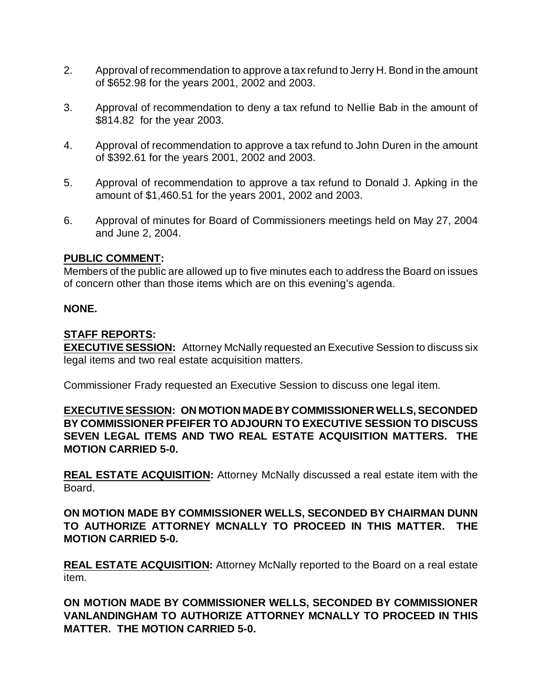- 2. Approval of recommendation to approve a tax refund to Jerry H. Bond in the amount of \$652.98 for the years 2001, 2002 and 2003.
- 3. Approval of recommendation to deny a tax refund to Nellie Bab in the amount of \$814.82 for the year 2003.
- 4. Approval of recommendation to approve a tax refund to John Duren in the amount of \$392.61 for the years 2001, 2002 and 2003.
- 5. Approval of recommendation to approve a tax refund to Donald J. Apking in the amount of \$1,460.51 for the years 2001, 2002 and 2003.
- 6. Approval of minutes for Board of Commissioners meetings held on May 27, 2004 and June 2, 2004.

## **PUBLIC COMMENT:**

Members of the public are allowed up to five minutes each to address the Board on issues of concern other than those items which are on this evening's agenda.

#### **NONE.**

# **STAFF REPORTS:**

**EXECUTIVE SESSION:** Attorney McNally requested an Executive Session to discuss six legal items and two real estate acquisition matters.

Commissioner Frady requested an Executive Session to discuss one legal item.

## **EXECUTIVE SESSION: ON MOTION MADE BY COMMISSIONER WELLS, SECONDED BY COMMISSIONER PFEIFER TO ADJOURN TO EXECUTIVE SESSION TO DISCUSS SEVEN LEGAL ITEMS AND TWO REAL ESTATE ACQUISITION MATTERS. THE MOTION CARRIED 5-0.**

**REAL ESTATE ACQUISITION:** Attorney McNally discussed a real estate item with the Board.

**ON MOTION MADE BY COMMISSIONER WELLS, SECONDED BY CHAIRMAN DUNN TO AUTHORIZE ATTORNEY MCNALLY TO PROCEED IN THIS MATTER. THE MOTION CARRIED 5-0.**

**REAL ESTATE ACQUISITION:** Attorney McNally reported to the Board on a real estate item.

**ON MOTION MADE BY COMMISSIONER WELLS, SECONDED BY COMMISSIONER VANLANDINGHAM TO AUTHORIZE ATTORNEY MCNALLY TO PROCEED IN THIS MATTER. THE MOTION CARRIED 5-0.**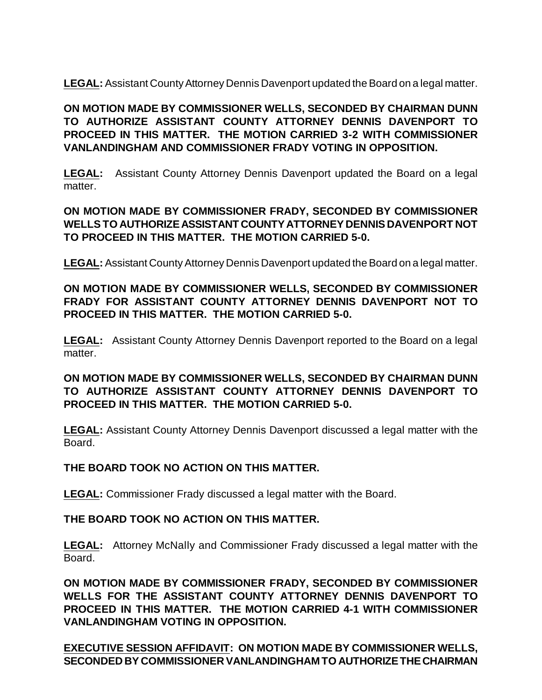**LEGAL:** Assistant County Attorney Dennis Davenport updated the Board on a legal matter.

# **ON MOTION MADE BY COMMISSIONER WELLS, SECONDED BY CHAIRMAN DUNN TO AUTHORIZE ASSISTANT COUNTY ATTORNEY DENNIS DAVENPORT TO PROCEED IN THIS MATTER. THE MOTION CARRIED 3-2 WITH COMMISSIONER VANLANDINGHAM AND COMMISSIONER FRADY VOTING IN OPPOSITION.**

**LEGAL:** Assistant County Attorney Dennis Davenport updated the Board on a legal matter.

# **ON MOTION MADE BY COMMISSIONER FRADY, SECONDED BY COMMISSIONER WELLS TO AUTHORIZE ASSISTANT COUNTY ATTORNEY DENNIS DAVENPORT NOT TO PROCEED IN THIS MATTER. THE MOTION CARRIED 5-0.**

**LEGAL:** Assistant County Attorney Dennis Davenport updated the Board on a legal matter.

# **ON MOTION MADE BY COMMISSIONER WELLS, SECONDED BY COMMISSIONER FRADY FOR ASSISTANT COUNTY ATTORNEY DENNIS DAVENPORT NOT TO PROCEED IN THIS MATTER. THE MOTION CARRIED 5-0.**

**LEGAL:** Assistant County Attorney Dennis Davenport reported to the Board on a legal matter.

# **ON MOTION MADE BY COMMISSIONER WELLS, SECONDED BY CHAIRMAN DUNN TO AUTHORIZE ASSISTANT COUNTY ATTORNEY DENNIS DAVENPORT TO PROCEED IN THIS MATTER. THE MOTION CARRIED 5-0.**

**LEGAL:** Assistant County Attorney Dennis Davenport discussed a legal matter with the Board.

#### **THE BOARD TOOK NO ACTION ON THIS MATTER.**

**LEGAL:** Commissioner Frady discussed a legal matter with the Board.

#### **THE BOARD TOOK NO ACTION ON THIS MATTER.**

**LEGAL:** Attorney McNally and Commissioner Frady discussed a legal matter with the Board.

**ON MOTION MADE BY COMMISSIONER FRADY, SECONDED BY COMMISSIONER WELLS FOR THE ASSISTANT COUNTY ATTORNEY DENNIS DAVENPORT TO PROCEED IN THIS MATTER. THE MOTION CARRIED 4-1 WITH COMMISSIONER VANLANDINGHAM VOTING IN OPPOSITION.** 

**EXECUTIVE SESSION AFFIDAVIT: ON MOTION MADE BY COMMISSIONER WELLS, SECONDED BY COMMISSIONER VANLANDINGHAM TO AUTHORIZE THE CHAIRMAN**